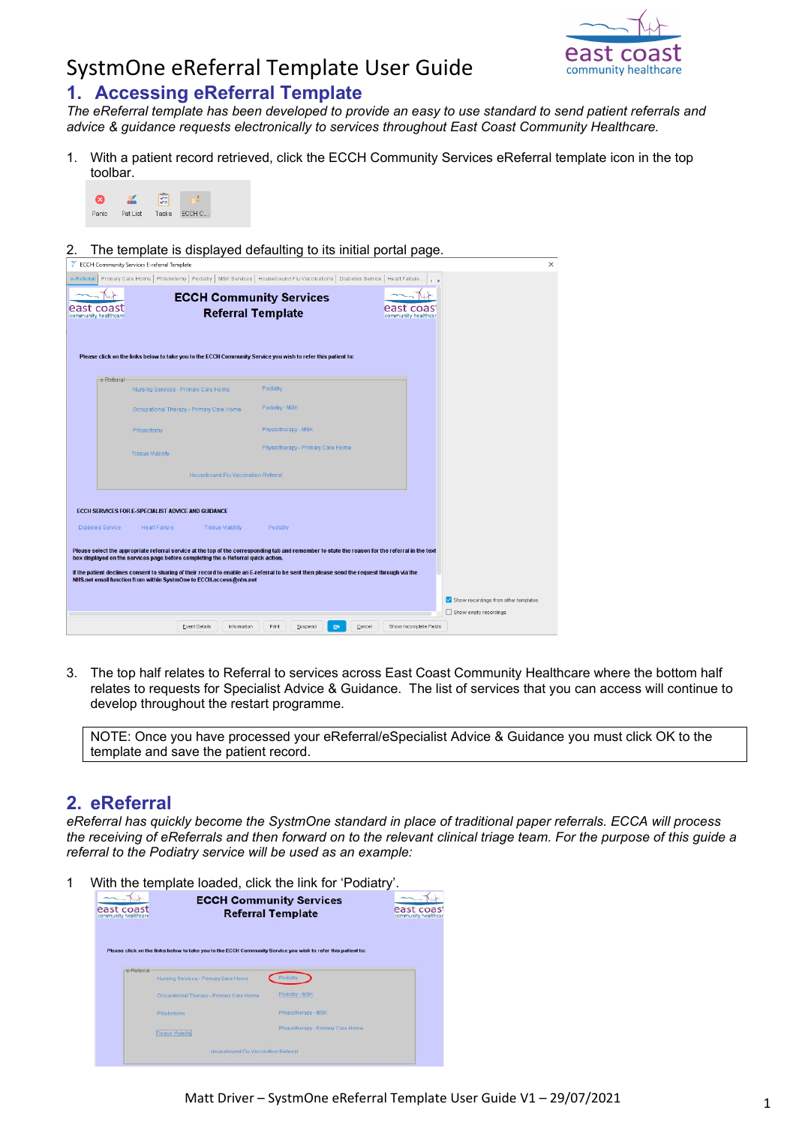

## SystmOne eReferral Template User Guide **1. Accessing eReferral Template**

*The eReferral template has been developed to provide an easy to use standard to send patient referrals and advice & guidance requests electronically to services throughout East Coast Community Healthcare.*

1. With a patient record retrieved, click the ECCH Community Services eReferral template icon in the top toolbar.



2. The template is displayed defaulting to its initial portal page.

| <b>ECCH Community Services E-referral Template</b>                                                                                                                                                                                                                                                    |                                                                                                                                                  | ×                                           |
|-------------------------------------------------------------------------------------------------------------------------------------------------------------------------------------------------------------------------------------------------------------------------------------------------------|--------------------------------------------------------------------------------------------------------------------------------------------------|---------------------------------------------|
| e-Referral                                                                                                                                                                                                                                                                                            | Primary Care Home   Phlebotomy   Podiatry   MSK Services   Housebound Flu Vaccinations   Diabetes Service   Heart Failure                        |                                             |
| <b>ECCH Community Services</b><br>east coast<br>community healthcare                                                                                                                                                                                                                                  | east coas<br><b>Referral Template</b><br>community healthcar                                                                                     |                                             |
| Please click on the links below to take you to the ECCH Community Service you wish to refer this patient to:<br>e-Referral                                                                                                                                                                            |                                                                                                                                                  |                                             |
| Nursing Services - Primary Care Home                                                                                                                                                                                                                                                                  | Podiatry                                                                                                                                         |                                             |
| Occupational Therapy - Primary Care Home                                                                                                                                                                                                                                                              | Podiatry - MSK                                                                                                                                   |                                             |
| Phlebotomy                                                                                                                                                                                                                                                                                            | Physiotherapy - MSK                                                                                                                              |                                             |
| <b>Tissue Viability</b>                                                                                                                                                                                                                                                                               | Physiotherapy - Primary Care Home                                                                                                                |                                             |
| <b>Housebound Flu Vaccination Referral</b>                                                                                                                                                                                                                                                            |                                                                                                                                                  |                                             |
| ECCH SERVICES FOR E-SPECIALIST ADVICE AND GUIDANCE                                                                                                                                                                                                                                                    |                                                                                                                                                  |                                             |
| <b>Diabetes Service</b><br><b>Heart Failure</b><br><b>Tissue Viability</b>                                                                                                                                                                                                                            | Podiatry                                                                                                                                         |                                             |
| box displayed on the services page before completing the e-Referral quick action.<br>If the patient declines consent to sharing of their record to enable an E-referral to be sent then please send the request through via the<br>NHS.net email function from within SystmOne to ECCH.access@nhs.net | Please select the appropriate referral service at the top of the corresponding tab and remember to state the reason for the referral in the text |                                             |
|                                                                                                                                                                                                                                                                                                       |                                                                                                                                                  | $\vee$ Show recordings from other templates |
| <b>Event Details</b><br>Information                                                                                                                                                                                                                                                                   | Print<br>Show Incomplete Fields<br>Suspend<br>Ok<br>Cancel                                                                                       | Show empty recordings                       |

3. The top half relates to Referral to services across East Coast Community Healthcare where the bottom half relates to requests for Specialist Advice & Guidance. The list of services that you can access will continue to develop throughout the restart programme.

NOTE: Once you have processed your eReferral/eSpecialist Advice & Guidance you must click OK to the template and save the patient record.

### **2. eReferral**

*eReferral has quickly become the SystmOne standard in place of traditional paper referrals. ECCA will process the receiving of eReferrals and then forward on to the relevant clinical triage team. For the purpose of this guide a referral to the Podiatry service will be used as an example:*

1 With the template loaded, click the link for 'Podiatry'.

| east coast<br>community healthcare |                                                                                                              | <b>ECCH Community Services</b><br><b>Referral Template</b> | east coas<br>community healthcar |
|------------------------------------|--------------------------------------------------------------------------------------------------------------|------------------------------------------------------------|----------------------------------|
| e-Referral                         | Please click on the links below to take you to the ECCH Community Service you wish to refer this patient to: |                                                            |                                  |
|                                    | Nursing Services - Primary Care Home<br>Occupational Therapy - Primary Care Home                             | Podlatry<br>Podiatry - MSK                                 |                                  |
|                                    | Phlebotomy                                                                                                   | Physiotherapy - MSK                                        |                                  |
|                                    | <b>Tissue Viability</b>                                                                                      | Physiotherapy - Primary Care Home                          |                                  |
|                                    |                                                                                                              |                                                            |                                  |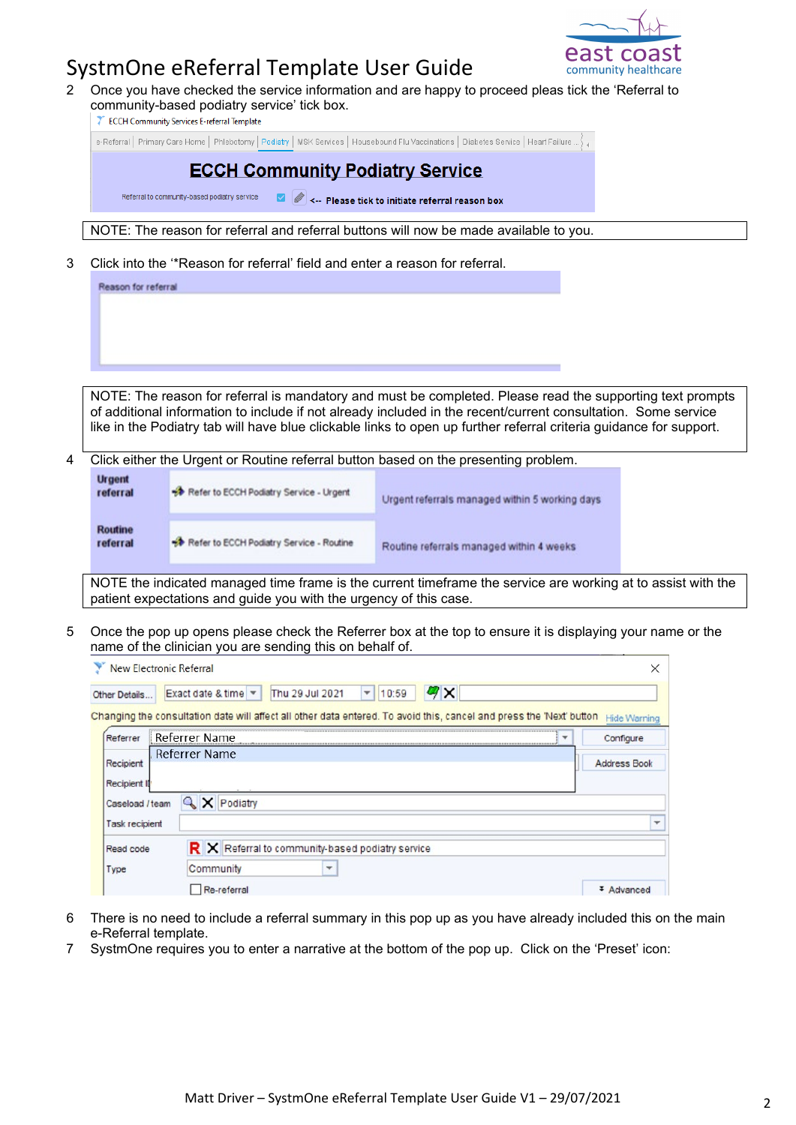

# Advanced

## SystmOne eReferral Template User Guide

2 Once you have checked the service information and are happy to proceed pleas tick the 'Referral to community-based podiatry service' tick box.

| <b>ECCH Community Services E-referral Template</b> |  |
|----------------------------------------------------|--|
|----------------------------------------------------|--|

e-Referral | Primary Care Home | Phlebotomy | Podiatry | MSK Services | Housebound Flu Vaccinations | Diabetes Service | Heart Failure ... }

|   |                                                                                                                                                                                   | <b>ECCH Community Podiatry Service</b><br>Referral to community-based podiatry service                                                                                                                                     | <-- Please tick to initiate referral reason box |  |              |  |  |  |  |
|---|-----------------------------------------------------------------------------------------------------------------------------------------------------------------------------------|----------------------------------------------------------------------------------------------------------------------------------------------------------------------------------------------------------------------------|-------------------------------------------------|--|--------------|--|--|--|--|
|   | NOTE: The reason for referral and referral buttons will now be made available to you.                                                                                             |                                                                                                                                                                                                                            |                                                 |  |              |  |  |  |  |
| 3 |                                                                                                                                                                                   | Click into the "Reason for referral' field and enter a reason for referral.                                                                                                                                                |                                                 |  |              |  |  |  |  |
|   | Reason for referral                                                                                                                                                               |                                                                                                                                                                                                                            |                                                 |  |              |  |  |  |  |
|   |                                                                                                                                                                                   |                                                                                                                                                                                                                            |                                                 |  |              |  |  |  |  |
|   |                                                                                                                                                                                   | NOTE: The reason for referral is mandatory and must be completed. Please read the supporting text prompts<br>of additional information to include if not already included in the recent/current consultation. Some service |                                                 |  |              |  |  |  |  |
|   |                                                                                                                                                                                   | like in the Podiatry tab will have blue clickable links to open up further referral criteria guidance for support.                                                                                                         |                                                 |  |              |  |  |  |  |
| 4 |                                                                                                                                                                                   | Click either the Urgent or Routine referral button based on the presenting problem.                                                                                                                                        |                                                 |  |              |  |  |  |  |
|   | <b>Urgent</b>                                                                                                                                                                     |                                                                                                                                                                                                                            |                                                 |  |              |  |  |  |  |
|   | referral                                                                                                                                                                          | Refer to ECCH Podiatry Service - Urgent                                                                                                                                                                                    | Urgent referrals managed within 5 working days  |  |              |  |  |  |  |
|   | <b>Routine</b><br>referral                                                                                                                                                        | Refer to ECCH Podiatry Service - Routine                                                                                                                                                                                   | Routine referrals managed within 4 weeks        |  |              |  |  |  |  |
|   | NOTE the indicated managed time frame is the current timeframe the service are working at to assist with the<br>patient expectations and guide you with the urgency of this case. |                                                                                                                                                                                                                            |                                                 |  |              |  |  |  |  |
| 5 | Once the pop up opens please check the Referrer box at the top to ensure it is displaying your name or the<br>name of the clinician you are sending this on behalf of.            |                                                                                                                                                                                                                            |                                                 |  |              |  |  |  |  |
|   | <b>New Electronic Referral</b><br>×                                                                                                                                               |                                                                                                                                                                                                                            |                                                 |  |              |  |  |  |  |
|   | $\mathbf{z}$<br>Thu 29 Jul 2021<br>Exact date & time<br>10:59<br>Other Details                                                                                                    |                                                                                                                                                                                                                            |                                                 |  |              |  |  |  |  |
|   | Changing the consultation date will affect all other data entered. To avoid this, cancel and press the 'Next' button Hide Warning                                                 |                                                                                                                                                                                                                            |                                                 |  |              |  |  |  |  |
|   | Referrer Name<br>Referrer<br>Configure<br>$\mathbf{v}$                                                                                                                            |                                                                                                                                                                                                                            |                                                 |  |              |  |  |  |  |
|   | <b>Referrer Name</b><br><b>Address Book</b><br>Recipient                                                                                                                          |                                                                                                                                                                                                                            |                                                 |  |              |  |  |  |  |
|   | <b>Recipient II</b>                                                                                                                                                               |                                                                                                                                                                                                                            |                                                 |  |              |  |  |  |  |
|   | Caseload / team                                                                                                                                                                   | <b>Q</b> X Podiatry                                                                                                                                                                                                        |                                                 |  |              |  |  |  |  |
|   | <b>Task recipient</b>                                                                                                                                                             |                                                                                                                                                                                                                            |                                                 |  | $\checkmark$ |  |  |  |  |
|   | Read code                                                                                                                                                                         | R X Referral to community-based podiatry service                                                                                                                                                                           |                                                 |  |              |  |  |  |  |
|   | $\overline{\phantom{a}}$<br>Community<br>Type                                                                                                                                     |                                                                                                                                                                                                                            |                                                 |  |              |  |  |  |  |

- 6 There is no need to include a referral summary in this pop up as you have already included this on the main e-Referral template.
- 7 SystmOne requires you to enter a narrative at the bottom of the pop up. Click on the 'Preset' icon:

 $\Box$  Re-referral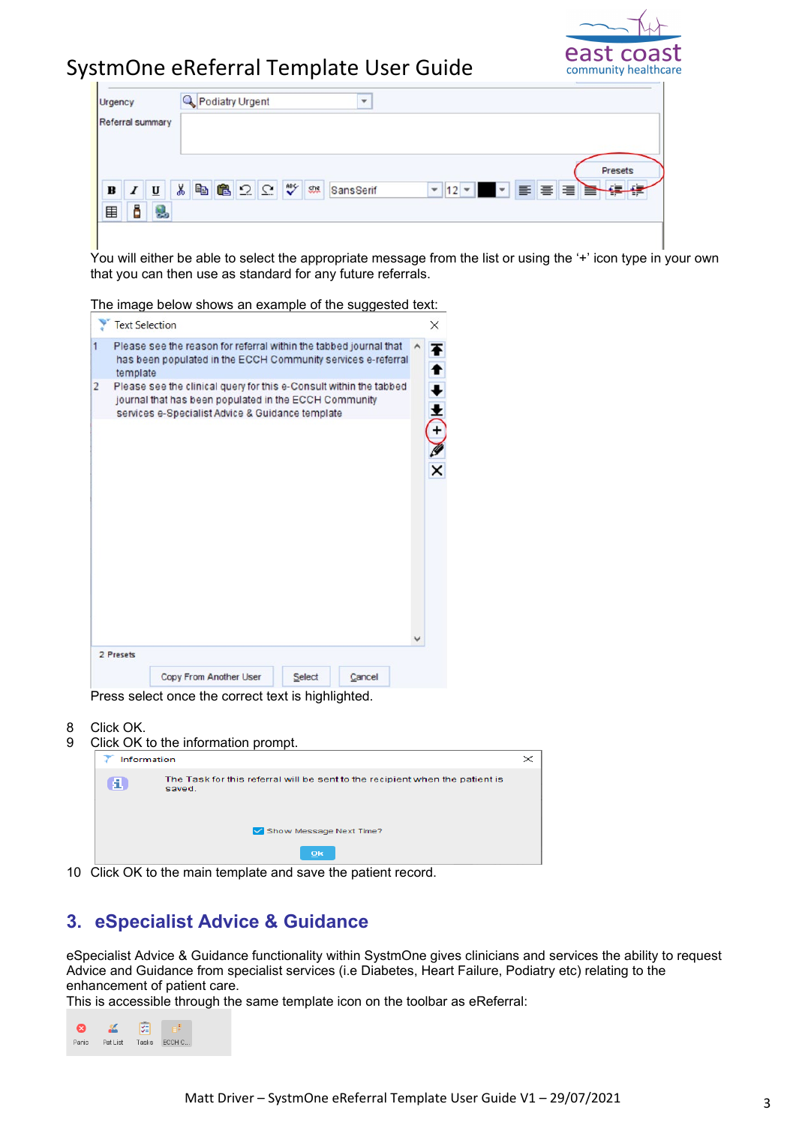

| Urgency<br>Referral summary                              | Podiatry Urgent                        | $\mathbf{v}$ |                              |                               |
|----------------------------------------------------------|----------------------------------------|--------------|------------------------------|-------------------------------|
| $\bf{B}$<br>I<br>$\underline{\mathtt{U}}$<br>õ<br>囯<br>L | <b>B2Q♥</b><br>¥,<br>lb.<br><b>She</b> | SansSerif    | $\mathbf{I}$ 12 $\mathbf{V}$ | <b>Presets</b><br>▞▕▛▏▆▏▆▕▆▕▆ |

You will either be able to select the appropriate message from the list or using the '+' icon type in your own that you can then use as standard for any future referrals.

The image below shows an example of the suggested text:

|   | <b>Text Selection</b>                                                                                                                                                           | X                                |
|---|---------------------------------------------------------------------------------------------------------------------------------------------------------------------------------|----------------------------------|
| 1 | Please see the reason for referral within the tabbed journal that<br>has been populated in the ECCH Community services e-referral<br>template                                   | Ŧ                                |
| 2 | Please see the clinical query for this e-Consult within the tabbed<br>journal that has been populated in the ECCH Community<br>services e-Specialist Advice & Guidance template | $+ +$                            |
|   |                                                                                                                                                                                 | $\frac{\mathscr{P}}{\mathsf{x}}$ |
|   |                                                                                                                                                                                 |                                  |
|   |                                                                                                                                                                                 |                                  |
|   |                                                                                                                                                                                 |                                  |
|   |                                                                                                                                                                                 |                                  |
|   |                                                                                                                                                                                 |                                  |
|   | 2 Presets                                                                                                                                                                       |                                  |
|   | Copy From Another User<br>Select<br>Cancel                                                                                                                                      |                                  |

Press select once the correct text is highlighted.

- 8 Click OK.
- 9 Click OK to the information prompt.

|   | Information                                                                            |  |
|---|----------------------------------------------------------------------------------------|--|
| я | The Task for this referral will be sent to the recipient when the patient is<br>saved. |  |
|   | Show Message Next Time?                                                                |  |
|   | O <sub>k</sub>                                                                         |  |

10 Click OK to the main template and save the patient record.

### **3. eSpecialist Advice & Guidance**

eSpecialist Advice & Guidance functionality within SystmOne gives clinicians and services the ability to request Advice and Guidance from specialist services (i.e Diabetes, Heart Failure, Podiatry etc) relating to the enhancement of patient care.

This is accessible through the same template icon on the toolbar as eReferral:

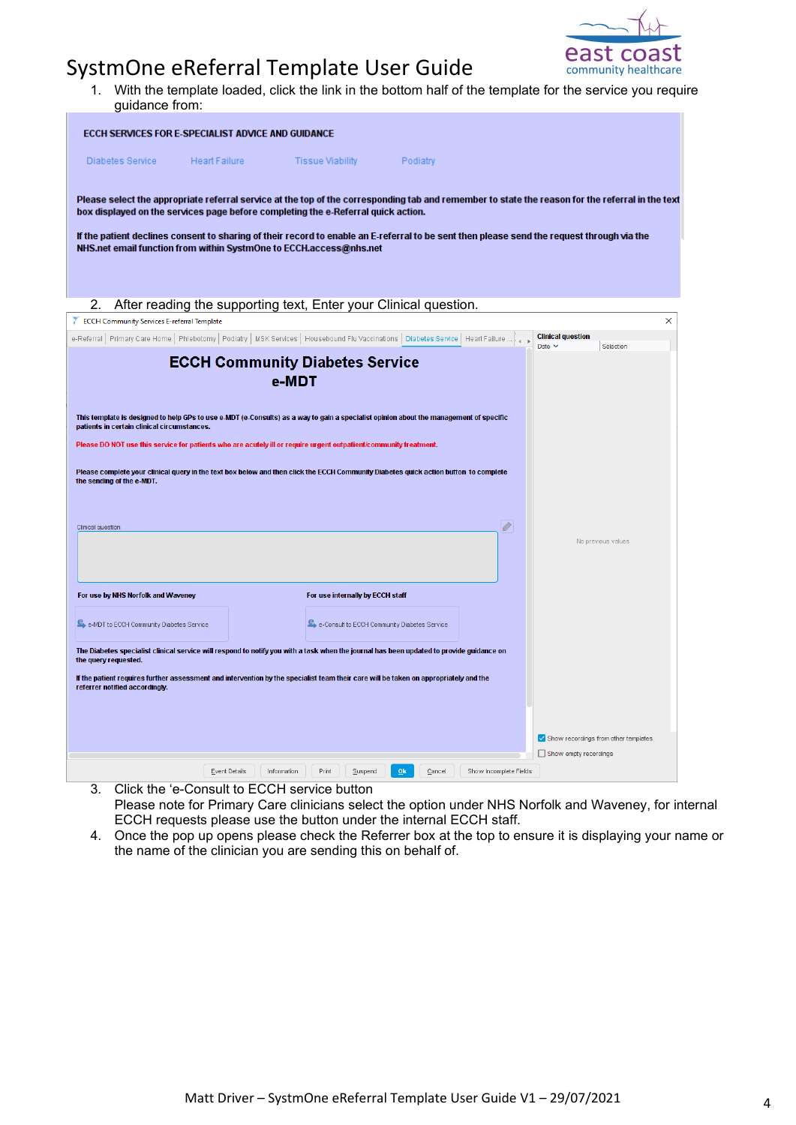

1. With the template loaded, click the link in the bottom half of the template for the service you require guidance from:

| ECCH SERVICES FOR E-SPECIALIST ADVICE AND GUIDANCE                                                                                                                                                                                                                                                                                                                                                                                                                                                   |                              |                                                                  |                                        |                                         |                                             |
|------------------------------------------------------------------------------------------------------------------------------------------------------------------------------------------------------------------------------------------------------------------------------------------------------------------------------------------------------------------------------------------------------------------------------------------------------------------------------------------------------|------------------------------|------------------------------------------------------------------|----------------------------------------|-----------------------------------------|---------------------------------------------|
| <b>Diabetes Service</b>                                                                                                                                                                                                                                                                                                                                                                                                                                                                              | <b>Heart Failure</b>         | <b>Tissue Viability</b>                                          | Podiatry                               |                                         |                                             |
| Please select the appropriate referral service at the top of the corresponding tab and remember to state the reason for the referral in the text<br>box displayed on the services page before completing the e-Referral quick action.<br>If the patient declines consent to sharing of their record to enable an E-referral to be sent then please send the request through via the<br>NHS.net email function from within SystmOne to ECCH.access@nhs.net                                            |                              |                                                                  |                                        |                                         |                                             |
| 2.                                                                                                                                                                                                                                                                                                                                                                                                                                                                                                   |                              | After reading the supporting text, Enter your Clinical question. |                                        |                                         |                                             |
| ECCH Community Services E-referral Template                                                                                                                                                                                                                                                                                                                                                                                                                                                          |                              |                                                                  |                                        |                                         | $\times$                                    |
| e-Referral   Primary Care Home   Phlebotomy   Podiatry   MSK Services   Housebound Flu Vaccinations   Diabetes Service   Heart Failure                                                                                                                                                                                                                                                                                                                                                               |                              |                                                                  |                                        | <b>Clinical question</b><br>Date $\vee$ | Selection                                   |
| This template is designed to help GPs to use e-MDT (e-Consults) as a way to gain a specialist opinion about the management of specific<br>patients in certain clinical circumstances.<br>Please DO NOT use this service for patients who are acutely ill or require urgent outpatient/community treatment.<br>Please complete your clinical query in the text box below and then click the ECCH Community Diabetes quick action button to complete<br>the sending of the e-MDT.<br>Clinical question |                              | <b>ECCH Community Diabetes Service</b><br>e-MDT                  |                                        | Ø                                       | No previous values                          |
| For use by NHS Norfolk and Waveney                                                                                                                                                                                                                                                                                                                                                                                                                                                                   |                              | For use internally by ECCH staff                                 |                                        |                                         |                                             |
| E. e-MDT to ECCH Community Diabetes Service                                                                                                                                                                                                                                                                                                                                                                                                                                                          |                              | E e-Consult to ECCH Community Diabetes Service                   |                                        |                                         |                                             |
| The Diabetes specialist clinical service will respond to notify you with a task when the journal has been updated to provide guidance on<br>the query requested.<br>If the patient requires further assessment and intervention by the specialist team their care will be taken on appropriately and the<br>referrer notified accordingly.                                                                                                                                                           |                              |                                                                  |                                        |                                         |                                             |
|                                                                                                                                                                                                                                                                                                                                                                                                                                                                                                      |                              |                                                                  |                                        |                                         | $\vee$ Show recordings from other templates |
|                                                                                                                                                                                                                                                                                                                                                                                                                                                                                                      |                              |                                                                  |                                        | Show empty recordings                   |                                             |
| J.<br>Click the 'e Consult to ECCH service button                                                                                                                                                                                                                                                                                                                                                                                                                                                    | Event Details<br>Information | Print<br>Suspend                                                 | Qk<br>Cancel<br>Show Incomplete Fields |                                         |                                             |

- 3. Click the 'e-Consult to ECCH service button Please note for Primary Care clinicians select the option under NHS Norfolk and Waveney, for internal ECCH requests please use the button under the internal ECCH staff.
- 4. Once the pop up opens please check the Referrer box at the top to ensure it is displaying your name or the name of the clinician you are sending this on behalf of.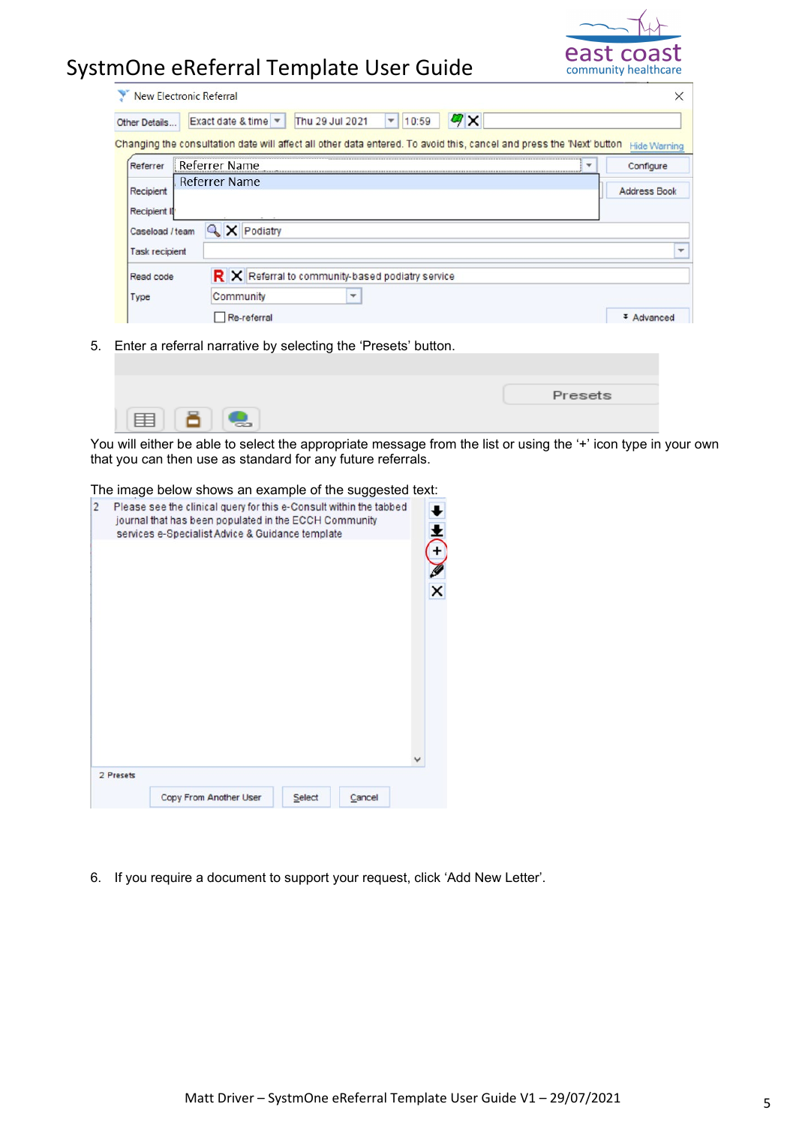

| <b>New Electronic Referral</b>                                                                                       |                      |  |                                        |                                                  |   |                          |       |              |  |   |                     |              |
|----------------------------------------------------------------------------------------------------------------------|----------------------|--|----------------------------------------|--------------------------------------------------|---|--------------------------|-------|--------------|--|---|---------------------|--------------|
| Other Details                                                                                                        |                      |  | Exact date & time $\blacktriangledown$ | Thu 29 Jul 2021                                  |   | $\overline{\phantom{a}}$ | 10:59 | $\mathbf{z}$ |  |   |                     |              |
| Changing the consultation date will affect all other data entered. To avoid this, cancel and press the 'Next' button |                      |  |                                        |                                                  |   |                          |       |              |  |   | <b>Hide Warning</b> |              |
| Referrer                                                                                                             | Referrer Name        |  |                                        |                                                  |   |                          |       |              |  | ▼ | Configure           |              |
| Recipient<br><b>Recipient II</b>                                                                                     | <b>Referrer Name</b> |  |                                        |                                                  |   |                          |       |              |  |   | <b>Address Book</b> |              |
| Caseload / team                                                                                                      |                      |  | X Podiatry                             |                                                  |   |                          |       |              |  |   |                     |              |
| <b>Task recipient</b>                                                                                                |                      |  |                                        |                                                  |   |                          |       |              |  |   |                     | $\mathbf{v}$ |
| Read code                                                                                                            |                      |  |                                        | R X Referral to community-based podiatry service |   |                          |       |              |  |   |                     |              |
| <b>Type</b>                                                                                                          |                      |  | Community                              |                                                  | ٠ |                          |       |              |  |   |                     |              |
|                                                                                                                      |                      |  | Re-referral                            |                                                  |   |                          |       |              |  |   |                     |              |

5. Enter a referral narrative by selecting the 'Presets' button.

| Presets |
|---------|
|         |

You will either be able to select the appropriate message from the list or using the '+' icon type in your own that you can then use as standard for any future referrals.

#### The image below shows an example of the suggested text:

| Please see the clinical query for this e-Consult within the tabbed<br>journal that has been populated in the ECCH Community<br>services e-Specialist Advice & Guidance template<br>$\widehat{+}$<br>$\frac{2}{x}$ | 2 Presets |             |  |  |  |
|-------------------------------------------------------------------------------------------------------------------------------------------------------------------------------------------------------------------|-----------|-------------|--|--|--|
|                                                                                                                                                                                                                   |           | $ 2\rangle$ |  |  |  |
|                                                                                                                                                                                                                   |           |             |  |  |  |

6. If you require a document to support your request, click 'Add New Letter'.